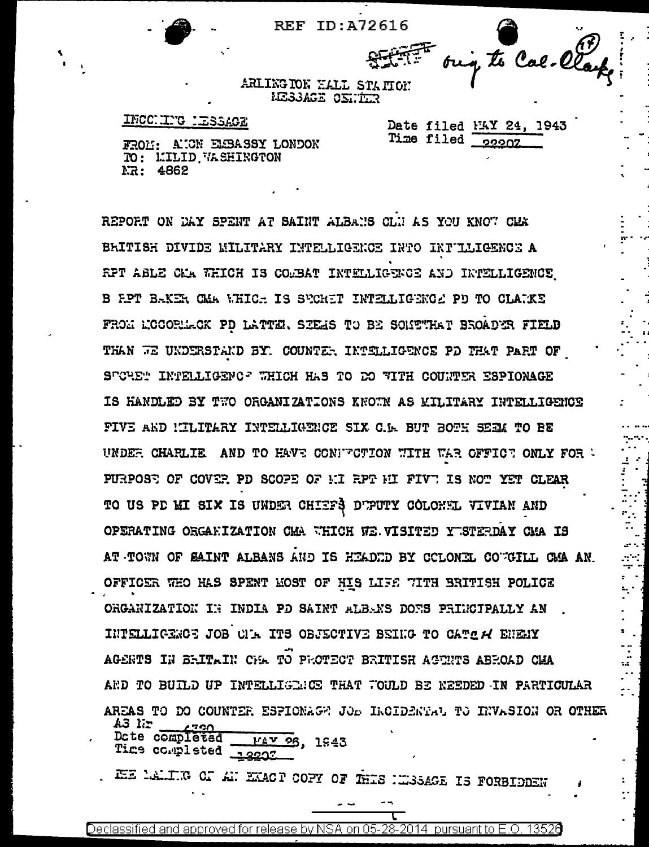

onig to Cal-Clarke

ARLING TON HALL STATION RESSAGE CENTER

## INCCHITG HESSAGE

Date filed MAY 24, 1943 Time filed poonz

FROM: AION EMBASSY LONDON TO: L'ILID. WA SHINGTON NR: 4862

REPORT ON DAY SPENT AT SAINT ALBANS CLN AS YOU KNOT CLA BRITISH DIVIDE MILITARY INTELLIGENCE INTO INTILIGENCE A RPT ABLE CMA WHICH IS COMBAT INTELLIGENCE AND INTELLIGENCE B RPT BAKER CMA WHICH IS SUCKET INTELLIGENCE PD TO CLARKE FROM MCCORMACK PD LATTER STEAS TO BE SOMTWHAT BROADER FIELD THAN WE UNDERSTAND BY. COUNTER INTELLIGENCE PD THAT PART OF STORET INTELLIGENCT WHICH HAS TO DO WITH COUNTER ESPIONAGE IS HANDLED BY TWO ORGANIZATIONS KNOWN AS MILITARY INTELLIGENCE FIVE AKD MILITARY INTELLIGENCE SIX C.1. BUT BOTH SEEM TO BE UNDER CHARLIE AND TO HAVE CONFECTION WITH WAR OFFICE ONLY FOR : PURPOSE OF COVER PD SCOPE OF MI RPT MI FIVE IS NOT YET CLEAR TO US PD MI SIX IS UNDER CHIEFS DUPUTY COLONEL VIVIAN AND OPERATING ORGANIZATION CMA WHICH WE VISITED YUSTERDAY CMA IS AT TOWN OF SAINT ALBANS AND IS HEADED BY COLONEL COUGILL CMA AN. OFFICER WHO HAS SPENT MOST OF HIS LIFE WITH BRITISH POLICE ORGANIZATION IN INDIA PD SAINT ALBANS DONS PRINCIPALLY AN INTELLIGENCE JOB CIL ITS OBJECTIVE BEING TO CATCH ENENY AGENTS IN BRITAIN CHA TO PHOTECT BRITISH AGENTS ABROAD CHA AND TO BUILD UP INTELLIGANCE THAT WOULD BE NEEDED IN PARTICULAR AREAS TO DO COUNTER ESPIONAGE JOB INCIDENTAL TO INVASION OR OTHER A3 Nr

Date completed **MAY 26, 1943** Time completed heapy

EE LALIK OF AN EKACT COPY OF THIS NEGGAGE IS FORBIDDEN

Declassified and approved for release by NSA on 05-28-2014 pursuant to E.O. 13526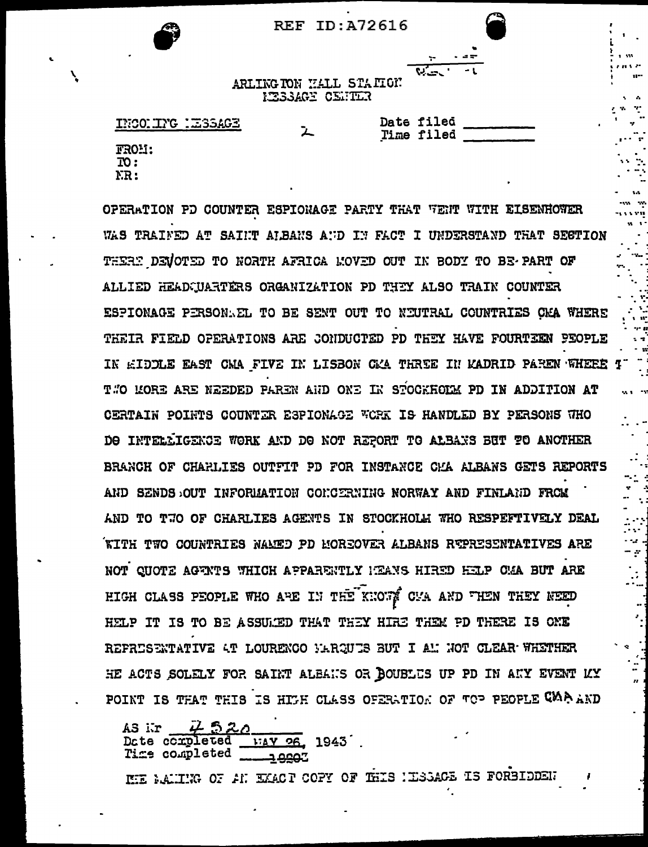$\frac{1}{\sum_{i=1}^{n} 1}$ 

 $\mathbb{R}$ 

. . .<br>- .

| ARLING TON HALL STAIT OF |  |
|--------------------------|--|
| RESSAGE CENTER           |  |

| EQACELY DUIT DONIT  | Date filed<br>Time filed |
|---------------------|--------------------------|
| <b>FROM:</b><br>TO: |                          |
| KR:                 |                          |

OPERATION PD COUNTER ESPIONAGE PARTY THAT WENT WITH EISENHOWER WAS TRAINED AT SAINT ALBANS AND IN FACT I UNDERSTAND THAT SECTION THERE DEVOTED TO NORTH AFRICA MOVED OUT IN BODY TO BE-PART OF ALLIED HEADQUARTERS ORGANIZATION PD THEY ALSO TRAIN COUNTER ESPIONAGE PERSONAEL TO BE SENT OUT TO NEUTRAL COUNTRIES CMA WHERE THEIR FIELD OPERATIONS ARE CONDUCTED PD THEY HAVE FOURTEEN PEOPLE IN EIDDLE EAST CMA FIVE IN LISBON CMA THREE IN MADRID PAREN WHERE T T#O MORE ARE NEEDED PAREN AND ONE IN STOCKHOUM PD IN ADDITION AT CERTAIN POINTS COUNTER ESPIONAGE WORK IS HANDLED BY PERSONS WHO DO INTELLIGENCE WORK AND DO NOT REPORT TO ALBANS BUT TO ANOTHER BRANCH OF CHARLIES OUTFIT PD FOR INSTANCE CHA ALBANS GETS REPORTS AND SENDS OUT INFORMATION CONCERNING NORWAY AND FINLAND FROM AND TO TWO OF CHARLIES AGENTS IN STOCKHOLM WHO RESPEFTIVELY DEAL **KITH TWO COUNTRIES NAMED PD MOREOVER ALBANS REPRESENTATIVES ARE** NOT QUOTE AGENTS WHICH APPARENTLY HEANS HIRED HELP CHA BUT ARE HIGH CLASS PEOPLE WHO ARE IN THE KNOWN CHA AND THEN THEY NEED HELP IT IS TO BE ASSUMED THAT THEY HIRE THEM PD THERE IS ONE REPRESEXTATIVE AT LOURENCO MARQUES BUT I AM NOT CLEAR WHETHER HE ACTS SOLELY FOR SAINT ALBANS OR BOUBLES UP PD IN ANY EVENT MY POINT IS THAT THIS IS HIGH CLASS OFERATION OF TOP PEOPLE CMP AND

AS  $\overline{X}$   $\overline{Y}$   $\overline{X}$   $\overline{X}$ <br>Date completed  $4520$  $\frac{174Y}{96}$ , 1943 Time completed \_\_\_\_\_\_\_\_\_\_\_\_

ME MALTRO OF AN EMACT COPY OF THIS IESSAGE IS FORBIDDEN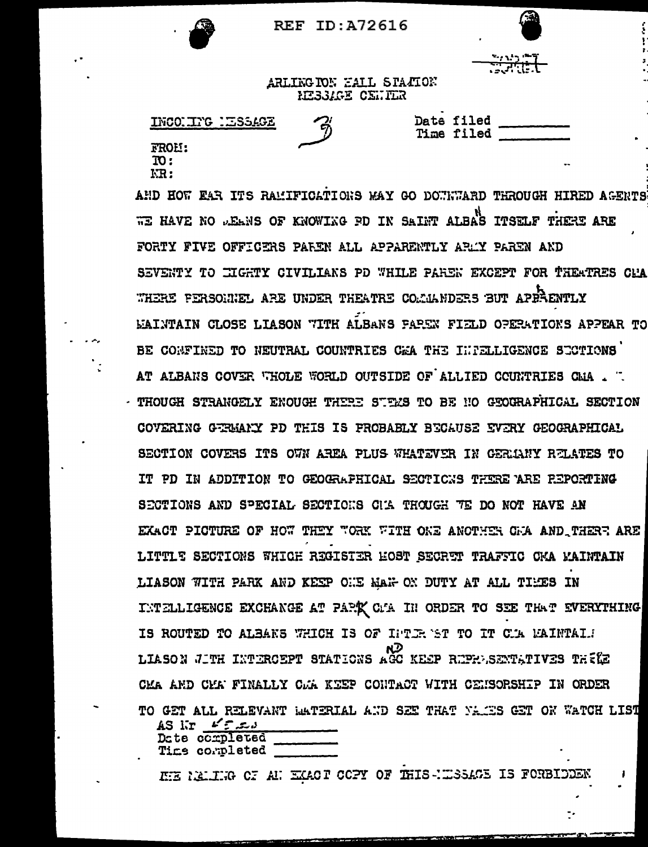

Date filed Time filed

## ARLING TON HALL STATION RESSAGE CENTER

| INCONTNG NESSAGE |  |
|------------------|--|
| FROL!            |  |
| TO:<br>KR:       |  |

AND HOW EAR ITS RAMIFICATIONS MAY GO DOWNWARD THROUGH HIRED AGENTS WE HAVE NO WEANS OF KNOWING PD IN SAINT ALBAS ITSELF THERE ARE FORTY FIVE OFFICERS PAREN ALL APPARENTLY ARMY PAREN AND SEVENTY TO IIGHTY CIVILIANS PD WHILE PAREN EXCEPT FOR THEATRES CHA THERE PERSONNEL ARE UNDER THEATRE COLMANDERS BUT APPRENTLY MAINTAIN CLOSE LIASON "ITH ALBANS PAREN FIELD OPERATIONS APPEAR TO BE CONFINED TO NEUTRAL COUNTRIES CEA THE INFELLIGENCE SECTIONS AT ALBANS COVER WHOLE WORLD OUTSIDE OF ALLIED COUNTRIES CMA . " - THOUGH STRANGELY ENOUGH THERE STEMS TO BE NO GEOGRAPHICAL SECTION COVERING GERMANY PD THIS IS FROBABLY BECAUSE EVERY GEOGRAPHICAL SECTION COVERS ITS OWN AREA PLUS WHATEVER IN GERMANY RELATES TO IT PD IN ADDITION TO GEOGRAPHICAL SECTICNS THERE ARE REPORTING SECTIONS AND SPECIAL SECTIONS CIA THOUGH TE DO NOT HAVE AN EXACT PICTURE OF HOW THEY WORK WITH ONE ANOTHER GAA AND THERE ARE LITTLE SECTIONS WHICH REGISTER HOST SECRET TRAFFIC CKA MAINTAIN LIASON WITH PARK AND KEEP ONE MAN ON DUTY AT ALL TIMES IN INTELLIGENCE EXCHANGE AT PARK OFA IN ORDER TO SEE THAT EVERYTHING IS ROUTED TO ALBANS WHICH IS OF IPTER ST TO IT CIA RAINTAL! LIASON JUTH INTERCEPT STATIONS AGO KEEP REPROSENTATIVES THREE CMA AND CMA FINALLY CAA KEEP CONTACT WITH CENSORSHIP IN ORDER TO GET ALL RELEVANT WATERIAL AND SEE THAT NAILS GET ON WATCH LIST

AS Kr  $\mathscr{L}$ f $\mathscr{L}$ Date completed Time completed

HE NALIG OF AN EXACT COPY OF THIS-NESSAGE IS FORBIDDEN

ı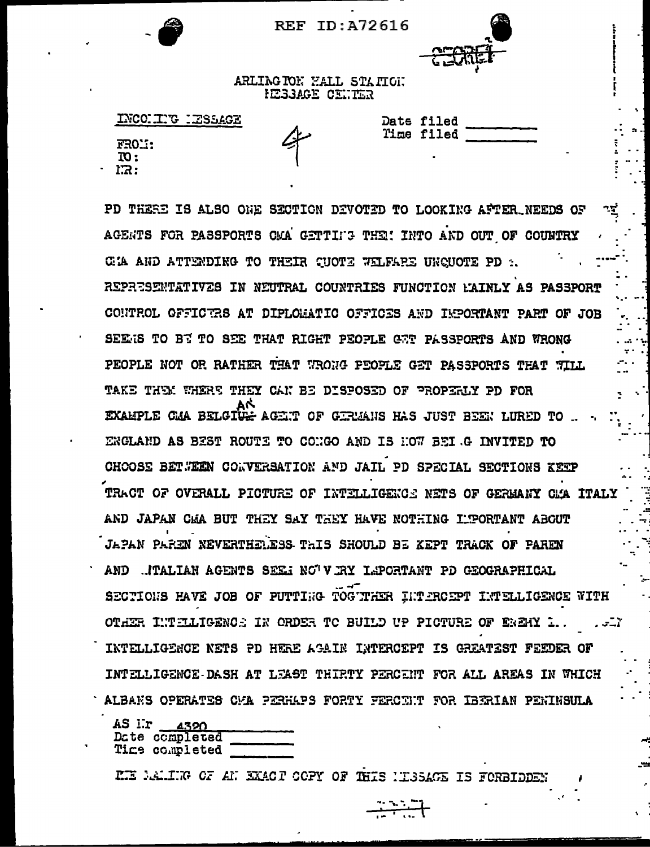

| <b>ARLING TON MALL STATIGN</b> |  |  |  |
|--------------------------------|--|--|--|
| HESSAGE CENTER                 |  |  |  |

| INCONTIGUES SAGE      |  |
|-----------------------|--|
| FROM:<br>$\mathbf{r}$ |  |
| IR :                  |  |

| <b>Date filed</b> |  |
|-------------------|--|
| lime filed        |  |

PD THERE IS ALSO ONE SECTION DEVOTED TO LOOKING AFTER NEEDS OF AGENTS FOR PASSPORTS OMA GETTING THEM! INTO AND OUT OF COUNTRY CIA AND ATTENDING TO THEIR CUOTE WHIFARE UNCUOTE PD :. REPRESEMTATIVES IN NEUTRAL COUNTRIES FUNCTION LAINLY AS PASSPORT CONTROL OFFICTRS AT DIPLOMATIC OFFICES AND IMPORTANT PART OF JOB SEE:S TO BI TO SEE THAT RIGHT PEOPLE GET PASSPORTS AND WRONG PEOPLE NOT OR RATHER THAT WRONG PEOPLE GET PASSPORTS THAT WILL TAKE THEM WHERE THEY CAN BE DISPOSED OF PROPERLY PD FOR EXAMPLE CMA BELGIVE AGENT OF GIRMANS HAS JUST BEEN LURED TO .. ENGLAND AS BEST ROUTE TO CONGO AND IS HOW BEI G INVITED TO CHOOSE BETWEEN CONVERSATION AND JAIL PD SPECIAL SECTIONS KEEP TRACT OF OVERALL PICTURE OF INTELLIGENCE NETS OF GERMANY CMA ITALY AND JAPAN CMA BUT THEY SAY THEY HAVE NOTHING IMPORTANT ABOUT JAPAN PAREN NEVERTHELESS THIS SHOULD BE KEPT TRACK OF PAREN AND WITALIAN AGENTS SEEN NOTVERY LEPORTANT PD GEOGRAPHICAL SECTIONS HAVE JOB OF PUTTING TOGUTHER INTERCEPT INTELLIGENCE WITH OTHER INTELLIGENCE IN ORDER TO BUILD UP PICTURE OF ENERY 1.. الآلابي INTELLIGENCE NETS PD HERE AGAIN INTERCEPT IS GREATEST FEEDER OF INTELLIGENCE DASH AT LEAST THIRTY PERCENT FOR ALL AREAS IN WHICH ALBANS OPERATES CMA PERHAPS FORTY FERCTUT FOR IBERIAN PENINSULA

AS Ir 4320 Date completed Time completed

INE MALING OF AN EXACT COPY OF THIS NIBBAGE IS FORBIDDEN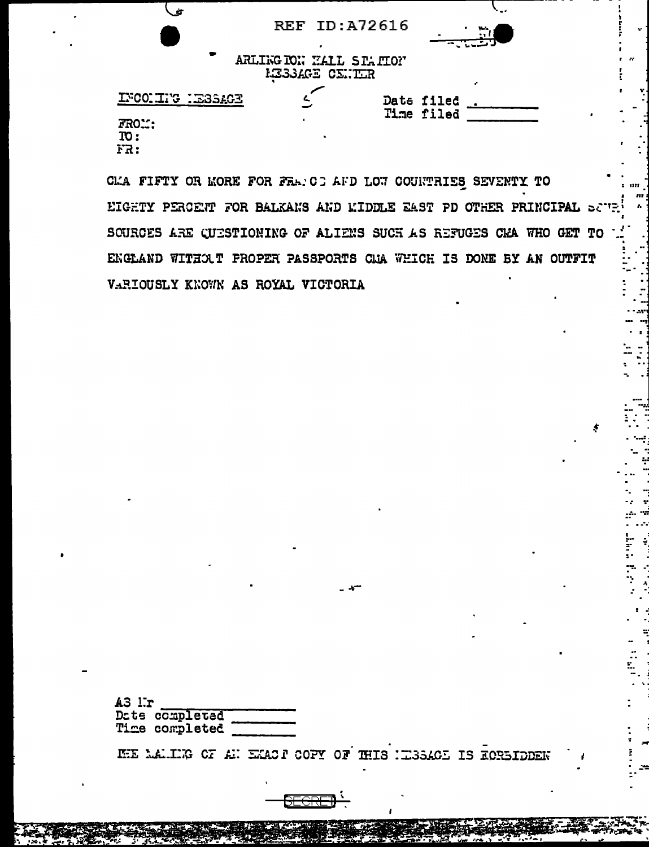|                                                  | - 1                      |
|--------------------------------------------------|--------------------------|
| <b>REF ID: A72616</b>                            |                          |
| ARLING TON HALL STATION<br><b>LESSAGE CENTER</b> | ×.                       |
| INCONTIUG NESSAGE                                | Date filed<br>Time filed |
| <b>FRO.::</b><br>$\overline{10}$ :<br>i`R:       |                          |

CLA FIFTY OR MORE FOR FRANCE AND LOW COUNTRIES SEVENTY TO EIGHTY PERCENT FOR BALKANS AND MIDDLE EAST PD OTHER PRINCIPAL SOVE SOURCES ARE CUESTIONING OF ALIENS SUCH AS REFUGES CHA WHO GET TO ENGLAND WITHOUT PROPER PASSPORTS CLIA WHICH IS DONE BY AN OUTFIT VARIOUSLY KNOWN AS ROYAL VICTORIA

| A3 l.r |                       |  |
|--------|-----------------------|--|
|        | Date completed        |  |
|        | <b>Time completed</b> |  |

INE LALIEG OF AT EXACT COPY OF THIS HESSACE IS RORSIDDEN